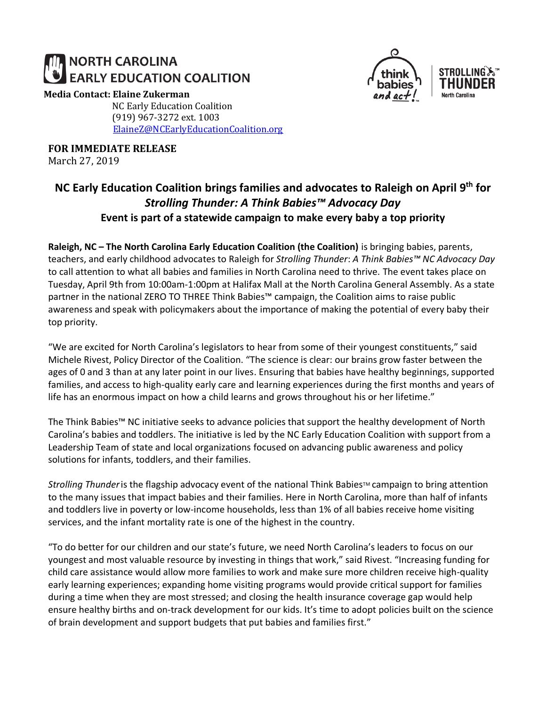# **NORTH CAROLINA EARLY EDUCATION COALITION**

#### **Media Contact: Elaine Zukerman**

NC Early Education Coalition (919) 967-3272 ext. 1003 [ElaineZ@NCEarlyEducationCoalition.org](mailto:ElaineZ@NCEarlyEducationCoalition.org)

**FOR IMMEDIATE RELEASE**

March 27, 2019





## **NC Early Education Coalition brings families and advocates to Raleigh on April 9th for**  *Strolling Thunder: A Think Babies™ Advocacy Day* **Event is part of a statewide campaign to make every baby a top priority**

**Raleigh, NC – The North Carolina Early Education Coalition (the Coalition)** is bringing babies, parents, teachers, and early childhood advocates to Raleigh for *Strolling Thunder*: *A Think Babies™ NC Advocacy Day* to call attention to what all babies and families in North Carolina need to thrive. The event takes place on Tuesday, April 9th from 10:00am-1:00pm at Halifax Mall at the North Carolina General Assembly. As a state partner in the national ZERO TO THREE Think Babies™ campaign, the Coalition aims to raise public awareness and speak with policymakers about the importance of making the potential of every baby their top priority.

"We are excited for North Carolina's legislators to hear from some of their youngest constituents," said Michele Rivest, Policy Director of the Coalition. "The science is clear: our brains grow faster between the ages of 0 and 3 than at any later point in our lives. Ensuring that babies have healthy beginnings, supported families, and access to high-quality early care and learning experiences during the first months and years of life has an enormous impact on how a child learns and grows throughout his or her lifetime."

The Think Babies™ NC initiative seeks to advance policies that support the healthy development of North Carolina's babies and toddlers. The initiative is led by the NC Early Education Coalition with support from a Leadership Team of state and local organizations focused on advancing public awareness and policy solutions for infants, toddlers, and their families.

*Strolling Thunder* is the flagship advocacy event of the national Think Babies™ campaign to bring attention to the many issues that impact babies and their families. Here in North Carolina, more than half of infants and toddlers live in poverty or low-income households, less than 1% of all babies receive home visiting services, and the infant mortality rate is one of the highest in the country.

"To do better for our children and our state's future, we need North Carolina's leaders to focus on our youngest and most valuable resource by investing in things that work," said Rivest. "Increasing funding for child care assistance would allow more families to work and make sure more children receive high-quality early learning experiences; expanding home visiting programs would provide critical support for families during a time when they are most stressed; and closing the health insurance coverage gap would help ensure healthy births and on-track development for our kids. It's time to adopt policies built on the science of brain development and support budgets that put babies and families first."